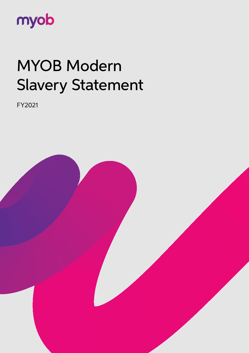

# MYOB Modern Slavery Statement

FY2021

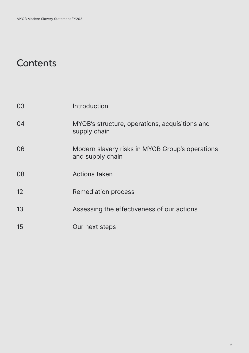## **Contents**

| 03 | Introduction                                                        |
|----|---------------------------------------------------------------------|
| 04 | MYOB's structure, operations, acquisitions and<br>supply chain      |
| 06 | Modern slavery risks in MYOB Group's operations<br>and supply chain |
| 08 | <b>Actions taken</b>                                                |
| 12 | <b>Remediation process</b>                                          |
| 13 | Assessing the effectiveness of our actions                          |
| 15 | Our next steps                                                      |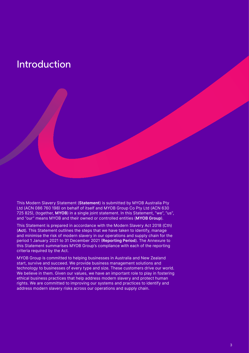### Introduction

This Modern Slavery Statement (**Statement**) is submitted by MYOB Australia Pty Ltd (ACN 086 760 198) on behalf of itself and MYOB Group Co Pty Ltd (ACN 630 725 825), (together, **MYOB**) in a single joint statement. In this Statement, "we", "us", and "our" means MYOB and their owned or controlled entities (**MYOB Group**).

This Statement is prepared in accordance with the Modern Slavery Act 2018 (Cth) (**Act**). This Statement outlines the steps that we have taken to identify, manage and minimise the risk of modern slavery in our operations and supply chain for the period 1 January 2021 to 31 December 2021 (**Reporting Period**). The Annexure to this Statement summarises MYOB Group's compliance with each of the reporting criteria required by the Act.

MYOB Group is committed to helping businesses in Australia and New Zealand start, survive and succeed. We provide business management solutions and technology to businesses of every type and size. These customers drive our world. We believe in them. Given our values, we have an important role to play in fostering ethical business practices that help address modern slavery and protect human rights. We are committed to improving our systems and practices to identify and address modern slavery risks across our operations and supply chain.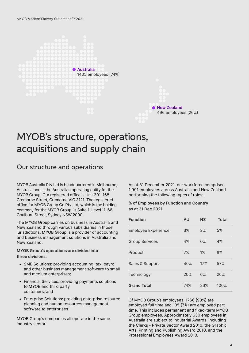

### MYOB's structure, operations, acquisitions and supply chain

#### Our structure and operations

MYOB Australia Pty Ltd is headquartered in Melbourne, Australia and is the Australian operating entity for the MYOB Group. Our registered office is Unit 301, 168 Cremorne Street, Cremorne VIC 3121. The registered office for MYOB Group Co Pty Ltd, which is the holding company for the MYOB Group, is Suite 1, Level 11, 66 Goulburn Street, Sydney NSW 2000.

The MYOB Group carries on business in Australia and New Zealand through various subsidiaries in those jurisdictions. MYOB Group is a provider of accounting and business management solutions in Australia and New Zealand.

**MYOB Group's operations are divided into three divisions:**

- SME Solutions: providing accounting, tax, payroll and other business management software to small and medium enterprises;
- Financial Services: providing payments solutions to MYOB and third party customers; and
- Enterprise Solutions: providing enterprise resource planning and human resources management software to enterprises.

MYOB Group's companies all operate in the same industry sector.

As at 31 December 2021, our workforce comprised 1,901 employees across Australia and New Zealand performing the following types of roles:

#### **% of Employees by Function and Country as at 31 Dec 2021**

| <b>Function</b>            | <b>AU</b> | NZ. | <b>Total</b> |
|----------------------------|-----------|-----|--------------|
| <b>Employee Experience</b> | 3%        | 2%  | 5%           |
| <b>Group Services</b>      | 4%        | 0%  | 4%           |
| Product                    | 7%        | 1%  | 8%           |
| Sales & Support            | 40%       | 17% | 57%          |
| Technology                 | 20%       | 6%  | 26%          |
| <b>Grand Total</b>         | 74%       | 26% | 100%         |

Of MYOB Group's employees, 1766 (93%) are employed full time and 135 (7%) are employed part time. This includes permanent and fixed-term MYOB Group employees. Approximately 630 employees in Australia are subject to Industrial Awards, including the Clerks - Private Sector Award 2010, the Graphic Arts, Printing and Publishing Award 2010, and the Professional Employees Award 2010.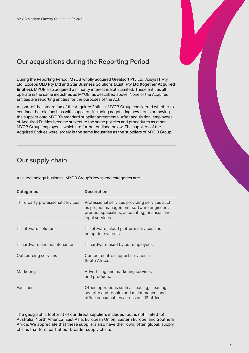### Our acquisitions during the Reporting Period

During the Reporting Period, MYOB wholly acquired Greatsoft Pty Ltd, Axsys IT Pty Ltd, Exoebs QLD Pty Ltd and Star Business Solutions (Aust) Pty Ltd (together **Acquired Entities**). MYOB also acquired a minority interest in Butn Limited. These entities all operate in the same industries as MYOB, as described above. None of the Acquired Entities are reporting entities for the purposes of the Act.

As part of the integration of the Acquired Entities, MYOB Group considered whether to continue the relationships with suppliers, including negotiating new terms or moving the supplier onto MYOB's standard supplier agreements. After acquisition, employees of Acquired Entities became subject to the same policies and procedures as other MYOB Group employees, which are further outlined below. The suppliers of the Acquired Entities were largely in the same industries as the suppliers of MYOB Group.

#### Our supply chain

As a technology business, MYOB Group's key spend categories are:

| <b>Categories</b>                 | <b>Description</b>                                                                                                                                               |
|-----------------------------------|------------------------------------------------------------------------------------------------------------------------------------------------------------------|
| Third party professional services | Professional services providing services such<br>as project management, software engineers,<br>product specialists, accounting, financial and<br>legal services. |
| IT software solutions             | IT software, cloud platform services and<br>computer systems.                                                                                                    |
| IT hardware and maintenance       | IT hardware used by our employees.                                                                                                                               |
| Outsourcing services              | Contact centre support services in<br>South Africa.                                                                                                              |
| Marketing                         | Advertising and marketing services<br>and products.                                                                                                              |
| <b>Facilities</b>                 | Office operations such as leasing, cleaning,<br>security and repairs and maintenance, and<br>office consumables across our 12 offices.                           |

The geographic footprint of our direct suppliers includes (but is not limited to) Australia, North America, East Asia, European Union, Eastern Europe, and Southern Africa. We appreciate that these suppliers also have their own, often global, supply chains that form part of our broader supply chain.

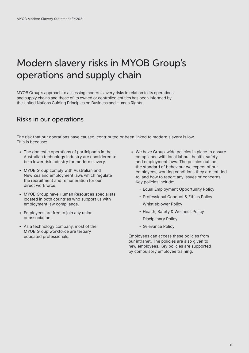# Modern slavery risks in MYOB Group's operations and supply chain

MYOB Group's approach to assessing modern slavery risks in relation to its operations and supply chains and those of its owned or controlled entities has been informed by the United Nations Guiding Principles on Business and Human Rights.

#### Risks in our operations

The risk that our operations have caused, contributed or been linked to modern slavery is low. This is because:

- The domestic operations of participants in the Australian technology industry are considered to be a lower risk industry for modern slavery.
- MYOB Group comply with Australian and New Zealand employment laws which regulate the recruitment and remuneration for our direct workforce.
- MYOB Group have Human Resources specialists located in both countries who support us with employment law compliance.
- Employees are free to join any union or association.
- As a technology company, most of the MYOB Group workforce are tertiary educated professionals.
- We have Group-wide policies in place to ensure compliance with local labour, health, safety and employment laws. The policies outline the standard of behaviour we expect of our employees, working conditions they are entitled to, and how to report any issues or concerns. Key policies include:
	- Equal Employment Opportunity Policy
	- Professional Conduct & Ethics Policy
	- Whistleblower Policy
	- Health, Safety & Wellness Policy
	- Disciplinary Policy
	- Grievance Policy

Employees can access these policies from our intranet. The policies are also given to new employees. Key policies are supported by compulsory employee training.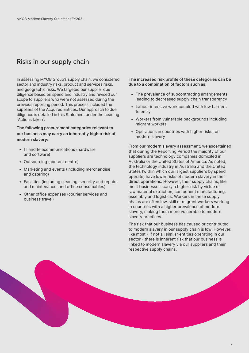#### Risks in our supply chain

In assessing MYOB Group's supply chain, we considered sector and industry risks, product and services risks, and geographic risks. We targeted our supplier due diligence based on spend and industry and revised our scope to suppliers who were not assessed during the previous reporting period. This process included the suppliers of the Acquired Entities. Our approach to due diligence is detailed in this Statement under the heading "Actions taken".

**The following procurement categories relevant to our business may carry an inherently higher risk of modern slavery:**

- IT and telecommunications (hardware and software)
- Outsourcing (contact centre)
- Marketing and events (including merchandise and catering)
- Facilities (including cleaning, security and repairs and maintenance, and office consumables)
- Other office expenses (courier services and business travel)

**The increased risk profile of these categories can be due to a combination of factors such as:** 

- The prevalence of subcontracting arrangements leading to decreased supply chain transparency
- Labour intensive work coupled with low barriers to entry
- Workers from vulnerable backgrounds including migrant workers
- Operations in countries with higher risks for modern slavery

From our modern slavery assessment, we ascertained that during the Reporting Period the majority of our suppliers are technology companies domiciled in Australia or the United States of America. As noted, the technology industry in Australia and the United States (within which our largest suppliers by spend operate) have lower risks of modern slavery in their direct operations. However, their supply chains, like most businesses, carry a higher risk by virtue of raw material extraction, component manufacturing, assembly and logistics. Workers in these supply chains are often low-skill or migrant workers working in countries with a higher prevalence of modern slavery, making them more vulnerable to modern slavery practices.

The risk that our business has caused or contributed to modern slavery in our supply chain is low. However, like most - if not all similar entities operating in our sector - there is inherent risk that our business is linked to modern slavery via our suppliers and their respective supply chains.

7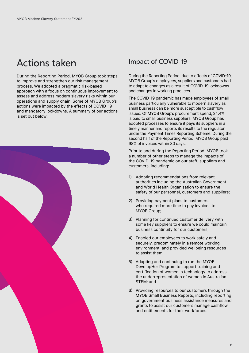### Actions taken

During the Reporting Period, MYOB Group took steps to improve and strengthen our risk management process. We adopted a pragmatic risk-based approach with a focus on continuous improvement to assess and address modern slavery risks within our operations and supply chain. Some of MYOB Group's actions were impacted by the effects of COVID-19 and mandatory lockdowns. A summary of our actions is set out below.



#### Impact of COVID-19

During the Reporting Period, due to effects of COVID-19, MYOB Group's employees, suppliers and customers had to adapt to changes as a result of COVID-19 lockdowns and changes in working practices.

The COVID-19 pandemic has made employees of small business particularly vulnerable to modern slavery as small business can be more susceptible to cashflow issues. Of MYOB Group's procurement spend, 24.4% is paid to small business suppliers. MYOB Group has adopted processes to ensure it pays its suppliers in a timely manner and reports its results to the regulator under the Payment Times Reporting Scheme. During the second half of the Reporting Period, MYOB Group paid 98% of invoices within 30 days.

Prior to and during the Reporting Period, MYOB took a number of other steps to manage the impacts of the COVID-19 pandemic on our staff, suppliers and customers, including:

- 1) Adopting recommendations from relevant authorities including the Australian Government and World Health Organisation to ensure the safety of our personnel, customers and suppliers;
- 2) Providing payment plans to customers who required more time to pay invoices to MYOB Group;
- 3) Planning for continued customer delivery with some key suppliers to ensure we could maintain business continuity for our customers;
- 4) Enabled our employees to work safely and securely, predominately in a remote working environment, and provided wellbeing resources to assist them;
- 5) Adapting and continuing to run the MYOB DevelopHer Program to support training and certification of women in technology to address the underrepresentation of women in Australian STEM; and
- 6) Providing resources to our customers through the MYOB Small Business Reports, including reporting on government business assistance measures and grants to assist our customers manage cashflow and entitlements for their workforces.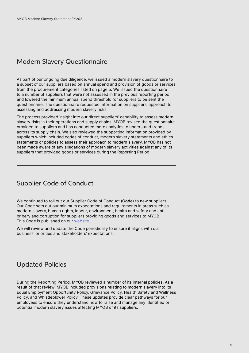#### Modern Slavery Questionnaire

As part of our ongoing due diligence, we issued a modern slavery questionnaire to a subset of our suppliers based on annual spend and provision of goods or services from the procurement categories listed on page 5. We issued the questionnaire to a number of suppliers that were not assessed in the previous reporting period and lowered the minimum annual spend threshold for suppliers to be sent the questionnaire. The questionnaire requested information on suppliers' approach to assessing and addressing modern slavery risks.

The process provided insight into our direct suppliers' capability to assess modern slavery risks in their operations and supply chains. MYOB revised the questionnaire provided to suppliers and has conducted more analytics to understand trends across its supply chain. We also reviewed the supporting information provided by suppliers which included codes of conduct, modern slavery statements and ethics statements or policies to assess their approach to modern slavery. MYOB has not been made aware of any allegations of modern slavery activities against any of its suppliers that provided goods or services during the Reporting Period.

#### Supplier Code of Conduct

We continued to roll out our Supplier Code of Conduct (**Code**) to new suppliers. Our Code sets out our minimum expectations and requirements in areas such as modern slavery, human rights, labour, environment, health and safety and antibribery and corruption for suppliers providing goods and services to MYOB. This Code is published on our [website](https://www.myob.com/content/dam/public-website/docs/terms-conditions/MYOB-SUPPLIER-CODE-OF-CONDUCT.pdf).

We will review and update the Code periodically to ensure it aligns with our business' priorities and stakeholders' expectations.

### Updated Policies

During the Reporting Period, MYOB reviewed a number of its internal policies. As a result of that review, MYOB included provisions relating to modern slavery into its Equal Employment Opportunity Policy, Grievance Policy, Health Safety and Wellness Policy, and Whistleblower Policy. These updates provide clear pathways for our employees to ensure they understand how to raise and manage any identified or potential modern slavery issues affecting MYOB or its suppliers.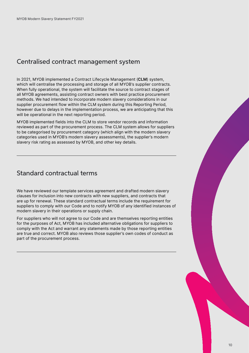#### Centralised contract management system

In 2021, MYOB implemented a Contract Lifecycle Management (**CLM**) system, which will centralise the processing and storage of all MYOB's supplier contracts. When fully operational, the system will facilitate the source to contract stages of all MYOB agreements, assisting contract owners with best practice procurement methods. We had intended to incorporate modern slavery considerations in our supplier procurement flow within the CLM system during this Reporting Period, however due to delays in the implementation process, we are anticipating that this will be operational in the next reporting period.

MYOB implemented fields into the CLM to store vendor records and information reviewed as part of the procurement process. The CLM system allows for suppliers to be categorised by procurement category (which align with the modern slavery categories used in MYOB's modern slavery assessments), the supplier's modern slavery risk rating as assessed by MYOB, and other key details.

#### Standard contractual terms

We have reviewed our template services agreement and drafted modern slavery clauses for inclusion into new contracts with new suppliers, and contracts that are up for renewal. These standard contractual terms include the requirement for suppliers to comply with our Code and to notify MYOB of any identified instances of modern slavery in their operations or supply chain.

For suppliers who will not agree to our Code and are themselves reporting entities for the purposes of Act, MYOB has included alternative obligations for suppliers to comply with the Act and warrant any statements made by those reporting entities are true and correct. MYOB also reviews those supplier's own codes of conduct as part of the procurement process.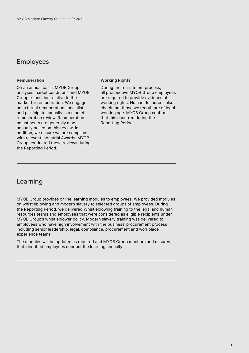#### Employees

#### **Remuneration**

On an annual basis, MYOB Group analyses market conditions and MYOB Groups's position relative to the market for remuneration. We engage an external remuneration specialist and participate annually in a market remuneration review. Remuneration adjustments are generally made annually based on this review. In addition, we ensure we are compliant with relevant Industrial Awards. MYOB Group conducted these reviews during the Reporting Period.

#### **Working Rights**

During the recruitment process, all prospective MYOB Group employees are required to provide evidence of working rights. Human Resources also check that those we recruit are of legal working age. MYOB Group confirms that this occurred during the Reporting Period.

#### Learning

MYOB Group provides online learning modules to employees. We provided modules on whistleblowing and modern slavery to selected groups of employees. During the Reporting Period, we delivered Whistleblowing training to the legal and human resources teams and employees that were considered as eligible recipients under MYOB Group's whistleblower policy. Modern slavery training was delivered to employees who have high involvement with the business' procurement process including senior leadership, legal, compliance, procurement and workplace experience teams.

The modules will be updated as required and MYOB Group monitors and ensures that identified employees conduct the learning annually.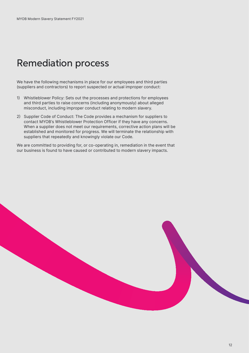### Remediation process

We have the following mechanisms in place for our employees and third parties (suppliers and contractors) to report suspected or actual improper conduct:

- 1) Whistleblower Policy: Sets out the processes and protections for employees and third parties to raise concerns (including anonymously) about alleged misconduct, including improper conduct relating to modern slavery.
- 2) Supplier Code of Conduct: The Code provides a mechanism for suppliers to contact MYOB's Whistleblower Protection Officer if they have any concerns. When a supplier does not meet our requirements, corrective action plans will be established and monitored for progress. We will terminate the relationship with suppliers that repeatedly and knowingly violate our Code.

We are committed to providing for, or co-operating in, remediation in the event that our business is found to have caused or contributed to modern slavery impacts.

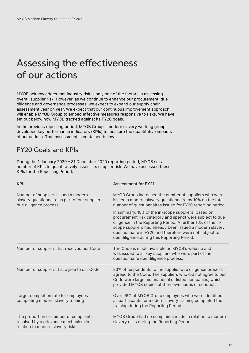## Assessing the effectiveness of our actions

MYOB acknowledges that industry risk is only one of the factors in assessing overall supplier risk. However, as we continue to enhance our procurement, due diligence and governance processes, we expect to expand our supply chain assessment year on year. We expect that our continuous improvement approach will enable MYOB Group to embed effective measures responsive to risks. We have set out below how MYOB tracked against its FY20 goals.

In the previous reporting period, MYOB Group's modern slavery working group developed key performance indicators (**KPIs**) to measure the quantitative impacts of our actions. That assessment is contained below.

### FY20 Goals and KPIs

During the 1 January 2020 – 31 December 2020 reporting period, MYOB set a number of KPIs to quantitatively assess its supplier risk. We have assessed these KPIs for the Reporting Period.

| <b>KPI</b>                                                                                                         | <b>Assessment for FY21</b>                                                                                                                                                                                                                                                                                                                           |
|--------------------------------------------------------------------------------------------------------------------|------------------------------------------------------------------------------------------------------------------------------------------------------------------------------------------------------------------------------------------------------------------------------------------------------------------------------------------------------|
| Number of suppliers issued a modern<br>slavery questionnaire as part of our supplier<br>due diligence process      | MYOB Group increased the number of suppliers who were<br>issued a modern slavery questionnaire by 10% on the total<br>number of questionnaires issued for FY20 reporting period.                                                                                                                                                                     |
|                                                                                                                    | In summary, 18% of the in-scope suppliers (based on<br>procurement risk category and spend) were subject to due<br>diligence in the Reporting Period. A further 16% of the in-<br>scope suppliers had already been issued a modern slavery<br>questionnaire in FY20 and therefore were not subject to<br>due diligence during this Reporting Period. |
| Number of suppliers that received our Code                                                                         | The Code is made available on MYOB's website and<br>was issued to all key suppliers who were part of the<br>questionnaire due diligence process.                                                                                                                                                                                                     |
| Number of suppliers that agree to our Code                                                                         | 83% of respondents to the supplier due diligence process<br>agreed to the Code. The suppliers who did not agree to our<br>Code were large multinational or listed companies, which<br>provided MYOB copies of their own codes of conduct.                                                                                                            |
| Target completion rate for employees<br>completing modern slavery training                                         | Over 98% of MYOB Group employees who were identified<br>as participants for modern slavery training completed the<br>training during the Reporting Period.                                                                                                                                                                                           |
| The proportion or number of complaints<br>resolved by a grievance mechanism in<br>relation to modern slavery risks | MYOB Group had no complaints made in relation to modern<br>slavery risks during the Reporting Period.                                                                                                                                                                                                                                                |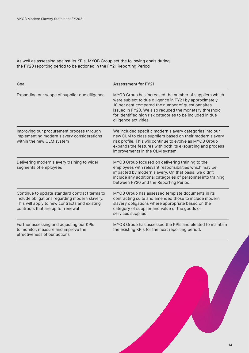As well as assessing against its KPIs, MYOB Group set the following goals during the FY20 reporting period to be actioned in the FY21 Reporting Period

| Goal                                                                                                                                                                                 | <b>Assessment for FY21</b>                                                                                                                                                                                                                                                                                            |
|--------------------------------------------------------------------------------------------------------------------------------------------------------------------------------------|-----------------------------------------------------------------------------------------------------------------------------------------------------------------------------------------------------------------------------------------------------------------------------------------------------------------------|
| Expanding our scope of supplier due diligence                                                                                                                                        | MYOB Group has increased the number of suppliers which<br>were subject to due diligence in FY21 by approximately<br>10 per cent compared the number of questionnaires<br>issued in FY20. We also reduced the monetary threshold<br>for identified high risk categories to be included in due<br>diligence activities. |
| Improving our procurement process through<br>implementing modern slavery considerations<br>within the new CLM system                                                                 | We included specific modern slavery categories into our<br>new CLM to class suppliers based on their modern slavery<br>risk profile. This will continue to evolve as MYOB Group<br>expands the features with both its e-sourcing and process<br>improvements in the CLM system.                                       |
| Delivering modern slavery training to wider<br>segments of employees                                                                                                                 | MYOB Group focused on delivering training to the<br>employees with relevant responsibilities which may be<br>impacted by modern slavery. On that basis, we didn't<br>include any additional categories of personnel into training<br>between FY20 and the Reporting Period.                                           |
| Continue to update standard contract terms to<br>include obligations regarding modern slavery.<br>This will apply to new contracts and existing<br>contracts that are up for renewal | MYOB Group has assessed template documents in its<br>contracting suite and amended those to include modern<br>slavery obligations where appropriate based on the<br>category of supplier and value of the goods or<br>services supplied.                                                                              |
| Further assessing and adjusting our KPIs<br>to monitor, measure and improve the<br>effectiveness of our actions                                                                      | MYOB Group has assessed the KPIs and elected to maintain<br>the existing KPIs for the next reporting period.                                                                                                                                                                                                          |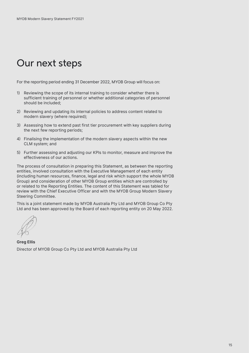### Our next steps

For the reporting period ending 31 December 2022, MYOB Group will focus on:

- 1) Reviewing the scope of its internal training to consider whether there is sufficient training of personnel or whether additional categories of personnel should be included;
- 2) Reviewing and updating its internal policies to address content related to modern slavery (where required);
- 3) Assessing how to extend past first tier procurement with key suppliers during the next few reporting periods;
- 4) Finalising the implementation of the modern slavery aspects within the new CLM system; and
- 5) Further assessing and adjusting our KPIs to monitor, measure and improve the effectiveness of our actions.

The process of consultation in preparing this Statement, as between the reporting entities, involved consultation with the Executive Management of each entity (including human resources, finance, legal and risk which support the whole MYOB Group) and consideration of other MYOB Group entities which are controlled by or related to the Reporting Entities. The content of this Statement was tabled for review with the Chief Executive Officer and with the MYOB Group Modern Slavery Steering Committee.

This is a joint statement made by MYOB Australia Pty Ltd and MYOB Group Co Pty Ltd and has been approved by the Board of each reporting entity on 20 May 2022.

**Greg Ellis**  Director of MYOB Group Co Pty Ltd and MYOB Australia Pty Ltd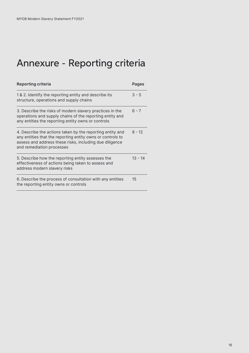# Annexure - Reporting criteria

| <b>Reporting criteria</b>                                                                                                                                                                                       | Pages     |
|-----------------------------------------------------------------------------------------------------------------------------------------------------------------------------------------------------------------|-----------|
| 1 & 2. Identify the reporting entity and describe its<br>structure, operations and supply chains                                                                                                                | $3 - 5$   |
| 3. Describe the risks of modern slavery practices in the<br>operations and supply chains of the reporting entity and<br>any entities the reporting entity owns or controls                                      | $6 - 7$   |
| 4. Describe the actions taken by the reporting entity and<br>any entities that the reporting entity owns or controls to<br>assess and address these risks, including due diligence<br>and remediation processes | $8 - 12$  |
| 5. Describe how the reporting entity assesses the<br>effectiveness of actions being taken to assess and<br>address modern slavery risks                                                                         | $13 - 14$ |
| 6. Describe the process of consultation with any entities<br>the reporting entity owns or controls                                                                                                              | 15        |